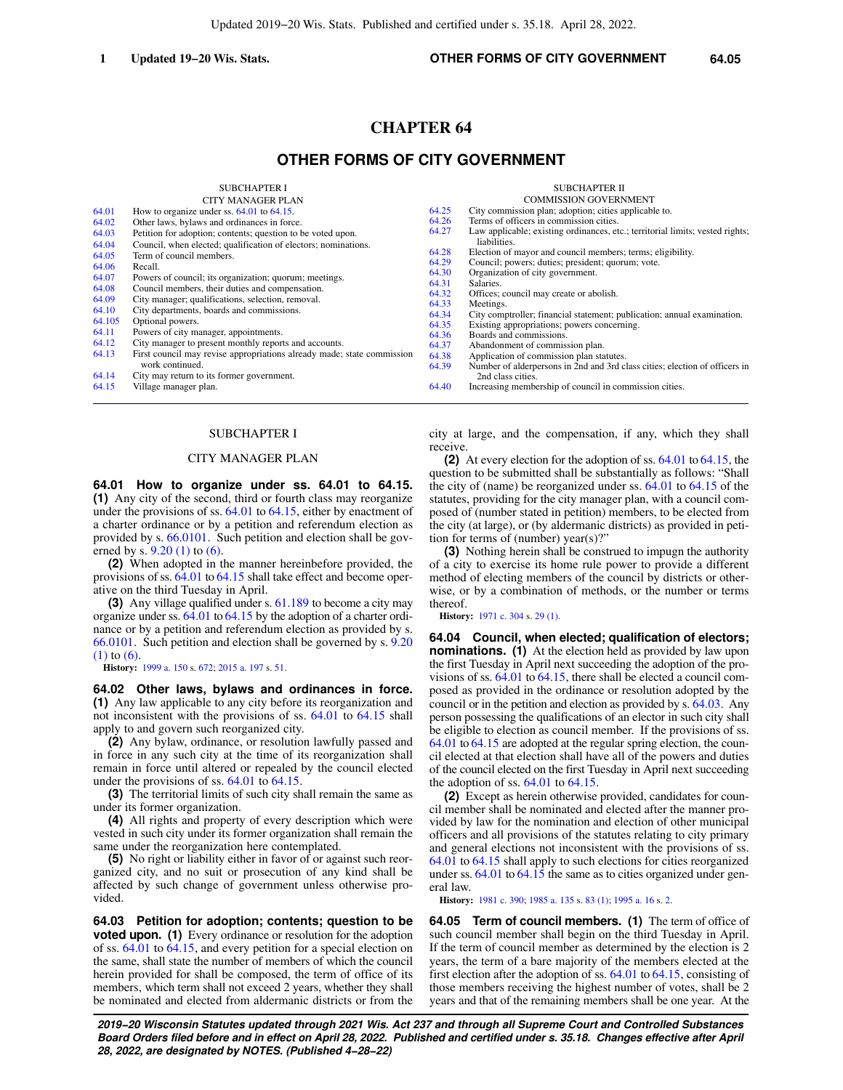# **CHAPTER 64**

# **OTHER FORMS OF CITY GOVERNMENT**

SUBCHAPTER I

|        | <b>CITY MANAGER PLAN</b>                                               |                | <b>COMMISSION GOVERNMENT</b>                                                  |
|--------|------------------------------------------------------------------------|----------------|-------------------------------------------------------------------------------|
| 64.01  | How to organize under ss. $64.01$ to $64.15$ .                         | 64.25          | City commission plan; adoption; cities applicable to.                         |
| 64.02  | Other laws, bylaws and ordinances in force.                            | 64.26          | Terms of officers in commission cities.                                       |
| 64.03  | Petition for adoption; contents; question to be voted upon.            | 64.27          | Law applicable; existing ordinances, etc.; territorial limits; vested rights; |
| 64.04  | Council, when elected; qualification of electors; nominations.         |                | liabilities.                                                                  |
| 64.05  | Term of council members.                                               | 64.28          | Election of mayor and council members; terms; eligibility.                    |
| 64.06  | Recall.                                                                | 64.29          | Council; powers; duties; president; quorum; vote.                             |
| 64.07  | Powers of council; its organization; quorum; meetings.                 | 64.30          | Organization of city government.                                              |
| 64.08  | Council members, their duties and compensation.                        | 64.31          | Salaries.                                                                     |
| 64.09  | City manager; qualifications, selection, removal.                      | 64.32<br>64.33 | Offices; council may create or abolish.<br>Meetings.                          |
| 64.10  | City departments, boards and commissions.                              | 64.34          | City comptroller; financial statement; publication; annual examination.       |
| 64.105 | Optional powers.                                                       | 64.35          | Existing appropriations; powers concerning.                                   |
| 64.11  | Powers of city manager, appointments.                                  | 64.36          | Boards and commissions.                                                       |
| 64.12  | City manager to present monthly reports and accounts.                  | 64.37          | Abandonment of commission plan.                                               |
| 64.13  | First council may revise appropriations already made; state commission | 64.38          | Application of commission plan statutes.                                      |
|        | work continued.                                                        | 64.39          | Number of alderpersons in 2nd and 3rd class cities; election of officers in   |
| 64.14  | City may return to its former government.                              |                | 2nd class cities.                                                             |
| 64.15  | Village manager plan.                                                  | 64.40          | Increasing membership of council in commission cities.                        |
|        |                                                                        |                |                                                                               |

#### SUBCHAPTER I

## CITY MANAGER PLAN

**64.01 How to organize under ss. 64.01 to 64.15. (1)** Any city of the second, third or fourth class may reorganize under the provisions of ss. [64.01](https://docs-preview.legis.wisconsin.gov/document/statutes/64.01) to [64.15,](https://docs-preview.legis.wisconsin.gov/document/statutes/64.15) either by enactment of a charter ordinance or by a petition and referendum election as provided by s. [66.0101.](https://docs-preview.legis.wisconsin.gov/document/statutes/66.0101) Such petition and election shall be governed by s. [9.20 \(1\)](https://docs-preview.legis.wisconsin.gov/document/statutes/9.20(1)) to [\(6\)](https://docs-preview.legis.wisconsin.gov/document/statutes/9.20(6)).

**(2)** When adopted in the manner hereinbefore provided, the provisions of ss. [64.01](https://docs-preview.legis.wisconsin.gov/document/statutes/64.01) to [64.15](https://docs-preview.legis.wisconsin.gov/document/statutes/64.15) shall take effect and become operative on the third Tuesday in April.

**(3)** Any village qualified under s. [61.189](https://docs-preview.legis.wisconsin.gov/document/statutes/61.189) to become a city may organize under ss. [64.01](https://docs-preview.legis.wisconsin.gov/document/statutes/64.01) to [64.15](https://docs-preview.legis.wisconsin.gov/document/statutes/64.15) by the adoption of a charter ordinance or by a petition and referendum election as provided by s. [66.0101](https://docs-preview.legis.wisconsin.gov/document/statutes/66.0101). Such petition and election shall be governed by s. [9.20](https://docs-preview.legis.wisconsin.gov/document/statutes/9.20(1)) [\(1\)](https://docs-preview.legis.wisconsin.gov/document/statutes/9.20(1)) to [\(6\)](https://docs-preview.legis.wisconsin.gov/document/statutes/9.20(6)).

**History:** [1999 a. 150](https://docs-preview.legis.wisconsin.gov/document/acts/1999/150) s. [672;](https://docs-preview.legis.wisconsin.gov/document/acts/1999/150,%20s.%20672) [2015 a. 197](https://docs-preview.legis.wisconsin.gov/document/acts/2015/197) s. [51.](https://docs-preview.legis.wisconsin.gov/document/acts/2015/197,%20s.%2051)

**64.02 Other laws, bylaws and ordinances in force. (1)** Any law applicable to any city before its reorganization and not inconsistent with the provisions of ss. [64.01](https://docs-preview.legis.wisconsin.gov/document/statutes/64.01) to [64.15](https://docs-preview.legis.wisconsin.gov/document/statutes/64.15) shall apply to and govern such reorganized city.

**(2)** Any bylaw, ordinance, or resolution lawfully passed and in force in any such city at the time of its reorganization shall remain in force until altered or repealed by the council elected under the provisions of ss. [64.01](https://docs-preview.legis.wisconsin.gov/document/statutes/64.01) to [64.15.](https://docs-preview.legis.wisconsin.gov/document/statutes/64.15)

**(3)** The territorial limits of such city shall remain the same as under its former organization.

**(4)** All rights and property of every description which were vested in such city under its former organization shall remain the same under the reorganization here contemplated.

**(5)** No right or liability either in favor of or against such reorganized city, and no suit or prosecution of any kind shall be affected by such change of government unless otherwise provided.

**64.03 Petition for adoption; contents; question to be voted upon.** (1) Every ordinance or resolution for the adoption of ss. [64.01](https://docs-preview.legis.wisconsin.gov/document/statutes/64.01) to [64.15,](https://docs-preview.legis.wisconsin.gov/document/statutes/64.15) and every petition for a special election on the same, shall state the number of members of which the council herein provided for shall be composed, the term of office of its members, which term shall not exceed 2 years, whether they shall be nominated and elected from aldermanic districts or from the

city at large, and the compensation, if any, which they shall receive.

**(2)** At every election for the adoption of ss. [64.01](https://docs-preview.legis.wisconsin.gov/document/statutes/64.01) to [64.15](https://docs-preview.legis.wisconsin.gov/document/statutes/64.15), the question to be submitted shall be substantially as follows: "Shall the city of (name) be reorganized under ss. [64.01](https://docs-preview.legis.wisconsin.gov/document/statutes/64.01) to [64.15](https://docs-preview.legis.wisconsin.gov/document/statutes/64.15) of the statutes, providing for the city manager plan, with a council composed of (number stated in petition) members, to be elected from the city (at large), or (by aldermanic districts) as provided in petition for terms of (number) year(s)?"

**(3)** Nothing herein shall be construed to impugn the authority of a city to exercise its home rule power to provide a different method of electing members of the council by districts or otherwise, or by a combination of methods, or the number or terms thereof.

**History:** [1971 c. 304](https://docs-preview.legis.wisconsin.gov/document/acts/1971/304) s. [29 \(1\).](https://docs-preview.legis.wisconsin.gov/document/acts/1971/304,%20s.%2029)

**64.04 Council, when elected; qualification of electors; nominations. (1)** At the election held as provided by law upon the first Tuesday in April next succeeding the adoption of the provisions of ss. [64.01](https://docs-preview.legis.wisconsin.gov/document/statutes/64.01) to [64.15](https://docs-preview.legis.wisconsin.gov/document/statutes/64.15), there shall be elected a council composed as provided in the ordinance or resolution adopted by the council or in the petition and election as provided by s. [64.03.](https://docs-preview.legis.wisconsin.gov/document/statutes/64.03) Any person possessing the qualifications of an elector in such city shall be eligible to election as council member. If the provisions of ss. [64.01](https://docs-preview.legis.wisconsin.gov/document/statutes/64.01) to [64.15](https://docs-preview.legis.wisconsin.gov/document/statutes/64.15) are adopted at the regular spring election, the council elected at that election shall have all of the powers and duties of the council elected on the first Tuesday in April next succeeding the adoption of ss.  $64.01$  to  $64.15$ .

**(2)** Except as herein otherwise provided, candidates for council member shall be nominated and elected after the manner provided by law for the nomination and election of other municipal officers and all provisions of the statutes relating to city primary and general elections not inconsistent with the provisions of ss. [64.01](https://docs-preview.legis.wisconsin.gov/document/statutes/64.01) to [64.15](https://docs-preview.legis.wisconsin.gov/document/statutes/64.15) shall apply to such elections for cities reorganized under ss. [64.01](https://docs-preview.legis.wisconsin.gov/document/statutes/64.01) to [64.15](https://docs-preview.legis.wisconsin.gov/document/statutes/64.15) the same as to cities organized under general law.

**History:** [1981 c. 390;](https://docs-preview.legis.wisconsin.gov/document/acts/1981/390) [1985 a. 135](https://docs-preview.legis.wisconsin.gov/document/acts/1985/135) s. [83 \(1\)](https://docs-preview.legis.wisconsin.gov/document/acts/1985/135,%20s.%2083); [1995 a. 16](https://docs-preview.legis.wisconsin.gov/document/acts/1995/16) s. [2.](https://docs-preview.legis.wisconsin.gov/document/acts/1995/16,%20s.%202)

**64.05 Term of council members. (1)** The term of office of such council member shall begin on the third Tuesday in April. If the term of council member as determined by the election is 2 years, the term of a bare majority of the members elected at the first election after the adoption of ss. [64.01](https://docs-preview.legis.wisconsin.gov/document/statutes/64.01) to [64.15](https://docs-preview.legis.wisconsin.gov/document/statutes/64.15), consisting of those members receiving the highest number of votes, shall be 2 years and that of the remaining members shall be one year. At the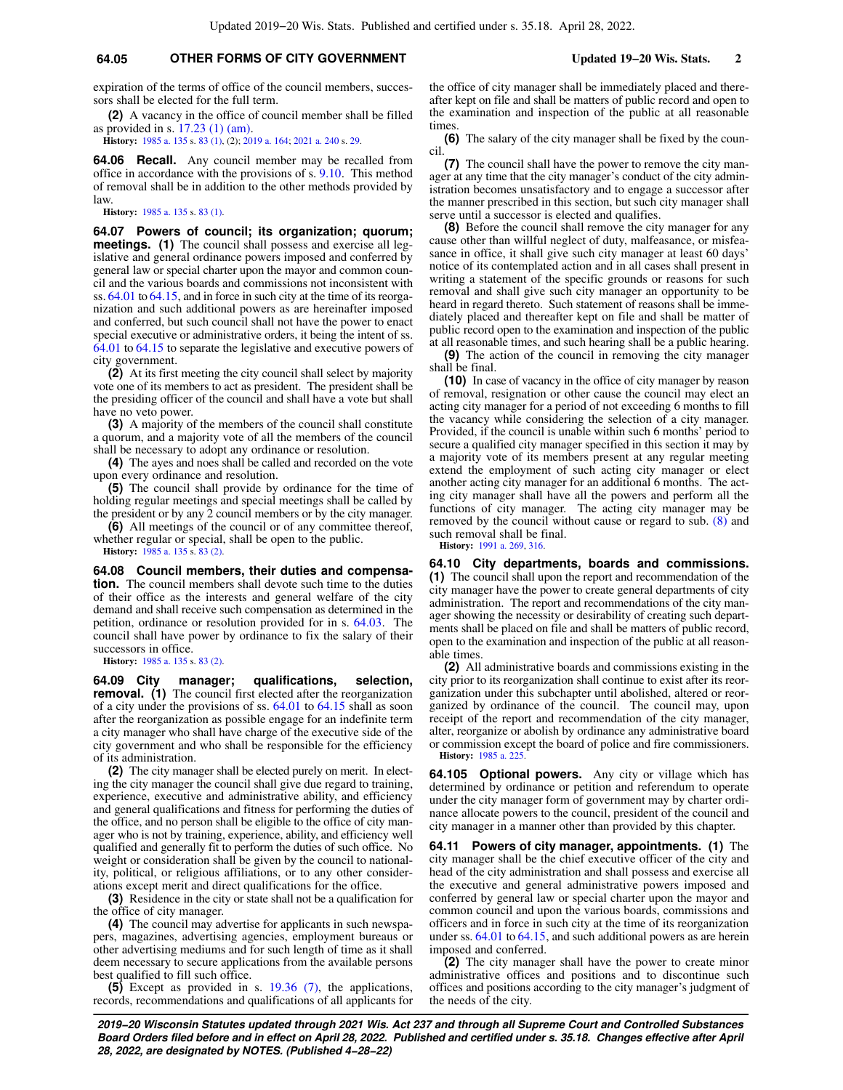## **64.05 OTHER FORMS OF CITY GOVERNMENT Updated 19−20 Wis. Stats. 2**

expiration of the terms of office of the council members, successors shall be elected for the full term.

**(2)** A vacancy in the office of council member shall be filled as provided in s. [17.23 \(1\) \(am\).](https://docs-preview.legis.wisconsin.gov/document/statutes/17.23(1)(am))

**History:** [1985 a. 135](https://docs-preview.legis.wisconsin.gov/document/acts/1985/135) s. [83 \(1\)](https://docs-preview.legis.wisconsin.gov/document/acts/1985/135,%20s.%2083), (2); [2019 a. 164;](https://docs-preview.legis.wisconsin.gov/document/acts/2019/164) [2021 a. 240](https://docs-preview.legis.wisconsin.gov/document/acts/2021/240) s. [29](https://docs-preview.legis.wisconsin.gov/document/acts/2021/240,%20s.%2029).

**64.06 Recall.** Any council member may be recalled from office in accordance with the provisions of s. [9.10](https://docs-preview.legis.wisconsin.gov/document/statutes/9.10). This method of removal shall be in addition to the other methods provided by law.

**History:** [1985 a. 135](https://docs-preview.legis.wisconsin.gov/document/acts/1985/135) s. [83 \(1\)](https://docs-preview.legis.wisconsin.gov/document/acts/1985/135,%20s.%2083).

**64.07 Powers of council; its organization; quorum; meetings.** (1) The council shall possess and exercise all legislative and general ordinance powers imposed and conferred by general law or special charter upon the mayor and common council and the various boards and commissions not inconsistent with ss. [64.01](https://docs-preview.legis.wisconsin.gov/document/statutes/64.01) to [64.15](https://docs-preview.legis.wisconsin.gov/document/statutes/64.15), and in force in such city at the time of its reorganization and such additional powers as are hereinafter imposed and conferred, but such council shall not have the power to enact special executive or administrative orders, it being the intent of ss. [64.01](https://docs-preview.legis.wisconsin.gov/document/statutes/64.01) to [64.15](https://docs-preview.legis.wisconsin.gov/document/statutes/64.15) to separate the legislative and executive powers of city government.

**(2)** At its first meeting the city council shall select by majority vote one of its members to act as president. The president shall be the presiding officer of the council and shall have a vote but shall have no veto power.

**(3)** A majority of the members of the council shall constitute a quorum, and a majority vote of all the members of the council shall be necessary to adopt any ordinance or resolution.

**(4)** The ayes and noes shall be called and recorded on the vote upon every ordinance and resolution.

**(5)** The council shall provide by ordinance for the time of holding regular meetings and special meetings shall be called by the president or by any 2 council members or by the city manager.

**(6)** All meetings of the council or of any committee thereof, whether regular or special, shall be open to the public. **History:** [1985 a. 135](https://docs-preview.legis.wisconsin.gov/document/acts/1985/135) s. [83 \(2\)](https://docs-preview.legis.wisconsin.gov/document/acts/1985/135,%20s.%2083).

**64.08 Council members, their duties and compensation.** The council members shall devote such time to the duties of their office as the interests and general welfare of the city demand and shall receive such compensation as determined in the petition, ordinance or resolution provided for in s. [64.03.](https://docs-preview.legis.wisconsin.gov/document/statutes/64.03) The council shall have power by ordinance to fix the salary of their successors in office.

**History:** [1985 a. 135](https://docs-preview.legis.wisconsin.gov/document/acts/1985/135) s. [83 \(2\)](https://docs-preview.legis.wisconsin.gov/document/acts/1985/135,%20s.%2083).

**64.09 City manager; qualifications, selection, removal. (1)** The council first elected after the reorganization of a city under the provisions of ss. [64.01](https://docs-preview.legis.wisconsin.gov/document/statutes/64.01) to [64.15](https://docs-preview.legis.wisconsin.gov/document/statutes/64.15) shall as soon after the reorganization as possible engage for an indefinite term a city manager who shall have charge of the executive side of the city government and who shall be responsible for the efficiency of its administration.

**(2)** The city manager shall be elected purely on merit. In electing the city manager the council shall give due regard to training, experience, executive and administrative ability, and efficiency and general qualifications and fitness for performing the duties of the office, and no person shall be eligible to the office of city manager who is not by training, experience, ability, and efficiency well qualified and generally fit to perform the duties of such office. No weight or consideration shall be given by the council to nationality, political, or religious affiliations, or to any other considerations except merit and direct qualifications for the office.

**(3)** Residence in the city or state shall not be a qualification for the office of city manager.

**(4)** The council may advertise for applicants in such newspapers, magazines, advertising agencies, employment bureaus or other advertising mediums and for such length of time as it shall deem necessary to secure applications from the available persons best qualified to fill such office.

**(5)** Except as provided in s. [19.36 \(7\)](https://docs-preview.legis.wisconsin.gov/document/statutes/19.36(7)), the applications, records, recommendations and qualifications of all applicants for the office of city manager shall be immediately placed and thereafter kept on file and shall be matters of public record and open to the examination and inspection of the public at all reasonable times

**(6)** The salary of the city manager shall be fixed by the council.

**(7)** The council shall have the power to remove the city manager at any time that the city manager's conduct of the city administration becomes unsatisfactory and to engage a successor after the manner prescribed in this section, but such city manager shall serve until a successor is elected and qualifies.

**(8)** Before the council shall remove the city manager for any cause other than willful neglect of duty, malfeasance, or misfeasance in office, it shall give such city manager at least 60 days' notice of its contemplated action and in all cases shall present in writing a statement of the specific grounds or reasons for such removal and shall give such city manager an opportunity to be heard in regard thereto. Such statement of reasons shall be immediately placed and thereafter kept on file and shall be matter of public record open to the examination and inspection of the public at all reasonable times, and such hearing shall be a public hearing.

**(9)** The action of the council in removing the city manager shall be final.

**(10)** In case of vacancy in the office of city manager by reason of removal, resignation or other cause the council may elect an acting city manager for a period of not exceeding 6 months to fill the vacancy while considering the selection of a city manager. Provided, if the council is unable within such 6 months' period to secure a qualified city manager specified in this section it may by a majority vote of its members present at any regular meeting extend the employment of such acting city manager or elect another acting city manager for an additional 6 months. The acting city manager shall have all the powers and perform all the functions of city manager. The acting city manager may be removed by the council without cause or regard to sub. [\(8\)](https://docs-preview.legis.wisconsin.gov/document/statutes/64.09(8)) and such removal shall be final.

**History:** [1991 a. 269,](https://docs-preview.legis.wisconsin.gov/document/acts/1991/269) [316.](https://docs-preview.legis.wisconsin.gov/document/acts/1991/316)

**64.10 City departments, boards and commissions. (1)** The council shall upon the report and recommendation of the city manager have the power to create general departments of city administration. The report and recommendations of the city manager showing the necessity or desirability of creating such departments shall be placed on file and shall be matters of public record, open to the examination and inspection of the public at all reasonable times.

**(2)** All administrative boards and commissions existing in the city prior to its reorganization shall continue to exist after its reorganization under this subchapter until abolished, altered or reorganized by ordinance of the council. The council may, upon receipt of the report and recommendation of the city manager, alter, reorganize or abolish by ordinance any administrative board or commission except the board of police and fire commissioners. **History:** [1985 a. 225.](https://docs-preview.legis.wisconsin.gov/document/acts/1985/225)

**64.105 Optional powers.** Any city or village which has determined by ordinance or petition and referendum to operate under the city manager form of government may by charter ordinance allocate powers to the council, president of the council and city manager in a manner other than provided by this chapter.

**64.11 Powers of city manager, appointments. (1)** The city manager shall be the chief executive officer of the city and head of the city administration and shall possess and exercise all the executive and general administrative powers imposed and conferred by general law or special charter upon the mayor and common council and upon the various boards, commissions and officers and in force in such city at the time of its reorganization under ss. [64.01](https://docs-preview.legis.wisconsin.gov/document/statutes/64.01) to [64.15,](https://docs-preview.legis.wisconsin.gov/document/statutes/64.15) and such additional powers as are herein imposed and conferred.

**(2)** The city manager shall have the power to create minor administrative offices and positions and to discontinue such offices and positions according to the city manager's judgment of the needs of the city.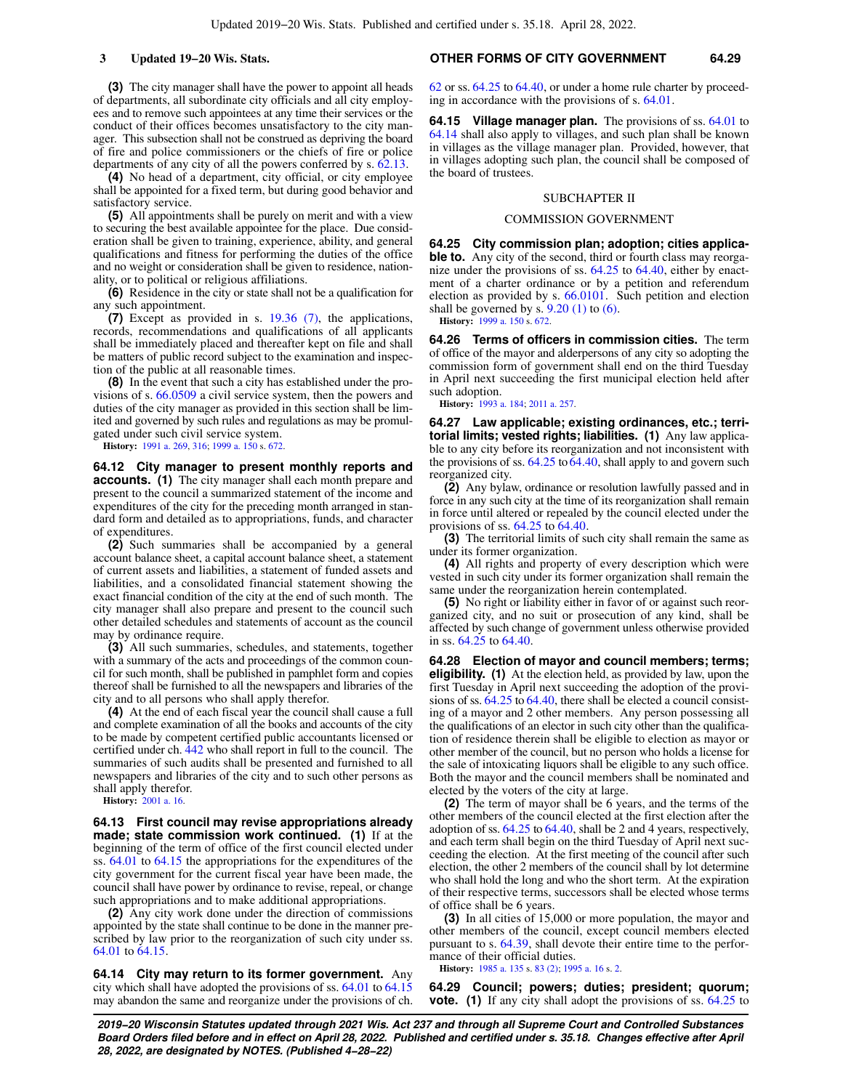## **(3)** The city manager shall have the power to appoint all heads of departments, all subordinate city officials and all city employees and to remove such appointees at any time their services or the conduct of their offices becomes unsatisfactory to the city manager. This subsection shall not be construed as depriving the board of fire and police commissioners or the chiefs of fire or police departments of any city of all the powers conferred by s. [62.13.](https://docs-preview.legis.wisconsin.gov/document/statutes/62.13)

**(4)** No head of a department, city official, or city employee shall be appointed for a fixed term, but during good behavior and satisfactory service.

**(5)** All appointments shall be purely on merit and with a view to securing the best available appointee for the place. Due consideration shall be given to training, experience, ability, and general qualifications and fitness for performing the duties of the office and no weight or consideration shall be given to residence, nationality, or to political or religious affiliations.

**(6)** Residence in the city or state shall not be a qualification for any such appointment.

**(7)** Except as provided in s. [19.36 \(7\)](https://docs-preview.legis.wisconsin.gov/document/statutes/19.36(7)), the applications, records, recommendations and qualifications of all applicants shall be immediately placed and thereafter kept on file and shall be matters of public record subject to the examination and inspection of the public at all reasonable times.

**(8)** In the event that such a city has established under the provisions of s. [66.0509](https://docs-preview.legis.wisconsin.gov/document/statutes/66.0509) a civil service system, then the powers and duties of the city manager as provided in this section shall be limited and governed by such rules and regulations as may be promulgated under such civil service system.

**History:** [1991 a. 269](https://docs-preview.legis.wisconsin.gov/document/acts/1991/269), [316](https://docs-preview.legis.wisconsin.gov/document/acts/1991/316); [1999 a. 150](https://docs-preview.legis.wisconsin.gov/document/acts/1999/150) s. [672.](https://docs-preview.legis.wisconsin.gov/document/acts/1999/150,%20s.%20672)

**64.12 City manager to present monthly reports and accounts.** (1) The city manager shall each month prepare and present to the council a summarized statement of the income and expenditures of the city for the preceding month arranged in standard form and detailed as to appropriations, funds, and character of expenditures.

**(2)** Such summaries shall be accompanied by a general account balance sheet, a capital account balance sheet, a statement of current assets and liabilities, a statement of funded assets and liabilities, and a consolidated financial statement showing the exact financial condition of the city at the end of such month. The city manager shall also prepare and present to the council such other detailed schedules and statements of account as the council may by ordinance require.

**(3)** All such summaries, schedules, and statements, together with a summary of the acts and proceedings of the common council for such month, shall be published in pamphlet form and copies thereof shall be furnished to all the newspapers and libraries of the city and to all persons who shall apply therefor.

**(4)** At the end of each fiscal year the council shall cause a full and complete examination of all the books and accounts of the city to be made by competent certified public accountants licensed or certified under ch. [442](https://docs-preview.legis.wisconsin.gov/document/statutes/ch.%20442) who shall report in full to the council. The summaries of such audits shall be presented and furnished to all newspapers and libraries of the city and to such other persons as shall apply therefor.

**History:** [2001 a. 16.](https://docs-preview.legis.wisconsin.gov/document/acts/2001/16)

**64.13 First council may revise appropriations already made; state commission work continued. (1)** If at the beginning of the term of office of the first council elected under ss. [64.01](https://docs-preview.legis.wisconsin.gov/document/statutes/64.01) to [64.15](https://docs-preview.legis.wisconsin.gov/document/statutes/64.15) the appropriations for the expenditures of the city government for the current fiscal year have been made, the council shall have power by ordinance to revise, repeal, or change such appropriations and to make additional appropriations.

**(2)** Any city work done under the direction of commissions appointed by the state shall continue to be done in the manner prescribed by law prior to the reorganization of such city under ss. [64.01](https://docs-preview.legis.wisconsin.gov/document/statutes/64.01) to [64.15](https://docs-preview.legis.wisconsin.gov/document/statutes/64.15).

**64.14 City may return to its former government.** Any city which shall have adopted the provisions of ss. [64.01](https://docs-preview.legis.wisconsin.gov/document/statutes/64.01) to [64.15](https://docs-preview.legis.wisconsin.gov/document/statutes/64.15) may abandon the same and reorganize under the provisions of ch.

## **3 Updated 19−20 Wis. Stats. OTHER FORMS OF CITY GOVERNMENT 64.29**

[62](https://docs-preview.legis.wisconsin.gov/document/statutes/ch.%2062) or ss. [64.25](https://docs-preview.legis.wisconsin.gov/document/statutes/64.25) to [64.40,](https://docs-preview.legis.wisconsin.gov/document/statutes/64.40) or under a home rule charter by proceeding in accordance with the provisions of s. [64.01](https://docs-preview.legis.wisconsin.gov/document/statutes/64.01).

**64.15 Village manager plan.** The provisions of ss. [64.01](https://docs-preview.legis.wisconsin.gov/document/statutes/64.01) to [64.14](https://docs-preview.legis.wisconsin.gov/document/statutes/64.14) shall also apply to villages, and such plan shall be known in villages as the village manager plan. Provided, however, that in villages adopting such plan, the council shall be composed of the board of trustees.

### SUBCHAPTER II

#### COMMISSION GOVERNMENT

**64.25 City commission plan; adoption; cities applicable to.** Any city of the second, third or fourth class may reorga-nize under the provisions of ss. [64.25](https://docs-preview.legis.wisconsin.gov/document/statutes/64.25) to [64.40](https://docs-preview.legis.wisconsin.gov/document/statutes/64.40), either by enactment of a charter ordinance or by a petition and referendum election as provided by s. [66.0101.](https://docs-preview.legis.wisconsin.gov/document/statutes/66.0101) Such petition and election shall be governed by s.  $9.20$  (1) to [\(6\)](https://docs-preview.legis.wisconsin.gov/document/statutes/9.20(6)). **History:** [1999 a. 150](https://docs-preview.legis.wisconsin.gov/document/acts/1999/150) s. [672](https://docs-preview.legis.wisconsin.gov/document/acts/1999/150,%20s.%20672).

**64.26 Terms of officers in commission cities.** The term of office of the mayor and alderpersons of any city so adopting the commission form of government shall end on the third Tuesday in April next succeeding the first municipal election held after such adoption.

**History:** [1993 a. 184;](https://docs-preview.legis.wisconsin.gov/document/acts/1993/184) [2011 a. 257.](https://docs-preview.legis.wisconsin.gov/document/acts/2011/257)

**64.27 Law applicable; existing ordinances, etc.; territorial limits; vested rights; liabilities. (1)** Any law applicable to any city before its reorganization and not inconsistent with the provisions of ss.  $64.25$  to  $64.40$ , shall apply to and govern such reorganized city.

**(2)** Any bylaw, ordinance or resolution lawfully passed and in force in any such city at the time of its reorganization shall remain in force until altered or repealed by the council elected under the provisions of ss. [64.25](https://docs-preview.legis.wisconsin.gov/document/statutes/64.25) to [64.40.](https://docs-preview.legis.wisconsin.gov/document/statutes/64.40)

**(3)** The territorial limits of such city shall remain the same as under its former organization.

**(4)** All rights and property of every description which were vested in such city under its former organization shall remain the same under the reorganization herein contemplated.

**(5)** No right or liability either in favor of or against such reorganized city, and no suit or prosecution of any kind, shall be affected by such change of government unless otherwise provided in ss. [64.25](https://docs-preview.legis.wisconsin.gov/document/statutes/64.25) to [64.40](https://docs-preview.legis.wisconsin.gov/document/statutes/64.40).

**64.28 Election of mayor and council members; terms; eligibility. (1)** At the election held, as provided by law, upon the first Tuesday in April next succeeding the adoption of the provisions of ss. [64.25](https://docs-preview.legis.wisconsin.gov/document/statutes/64.25) to [64.40,](https://docs-preview.legis.wisconsin.gov/document/statutes/64.40) there shall be elected a council consisting of a mayor and 2 other members. Any person possessing all the qualifications of an elector in such city other than the qualification of residence therein shall be eligible to election as mayor or other member of the council, but no person who holds a license for the sale of intoxicating liquors shall be eligible to any such office. Both the mayor and the council members shall be nominated and elected by the voters of the city at large.

**(2)** The term of mayor shall be 6 years, and the terms of the other members of the council elected at the first election after the adoption of ss. [64.25](https://docs-preview.legis.wisconsin.gov/document/statutes/64.25) to [64.40](https://docs-preview.legis.wisconsin.gov/document/statutes/64.40), shall be 2 and 4 years, respectively, and each term shall begin on the third Tuesday of April next succeeding the election. At the first meeting of the council after such election, the other 2 members of the council shall by lot determine who shall hold the long and who the short term. At the expiration of their respective terms, successors shall be elected whose terms of office shall be 6 years.

**(3)** In all cities of 15,000 or more population, the mayor and other members of the council, except council members elected pursuant to s. [64.39](https://docs-preview.legis.wisconsin.gov/document/statutes/64.39), shall devote their entire time to the performance of their official duties.

**History:** [1985 a. 135](https://docs-preview.legis.wisconsin.gov/document/acts/1985/135) s. [83 \(2\);](https://docs-preview.legis.wisconsin.gov/document/acts/1985/135,%20s.%2083) [1995 a. 16](https://docs-preview.legis.wisconsin.gov/document/acts/1995/16) s. [2](https://docs-preview.legis.wisconsin.gov/document/acts/1995/16,%20s.%202).

**64.29 Council; powers; duties; president; quorum; vote. (1)** If any city shall adopt the provisions of ss. [64.25](https://docs-preview.legis.wisconsin.gov/document/statutes/64.25) to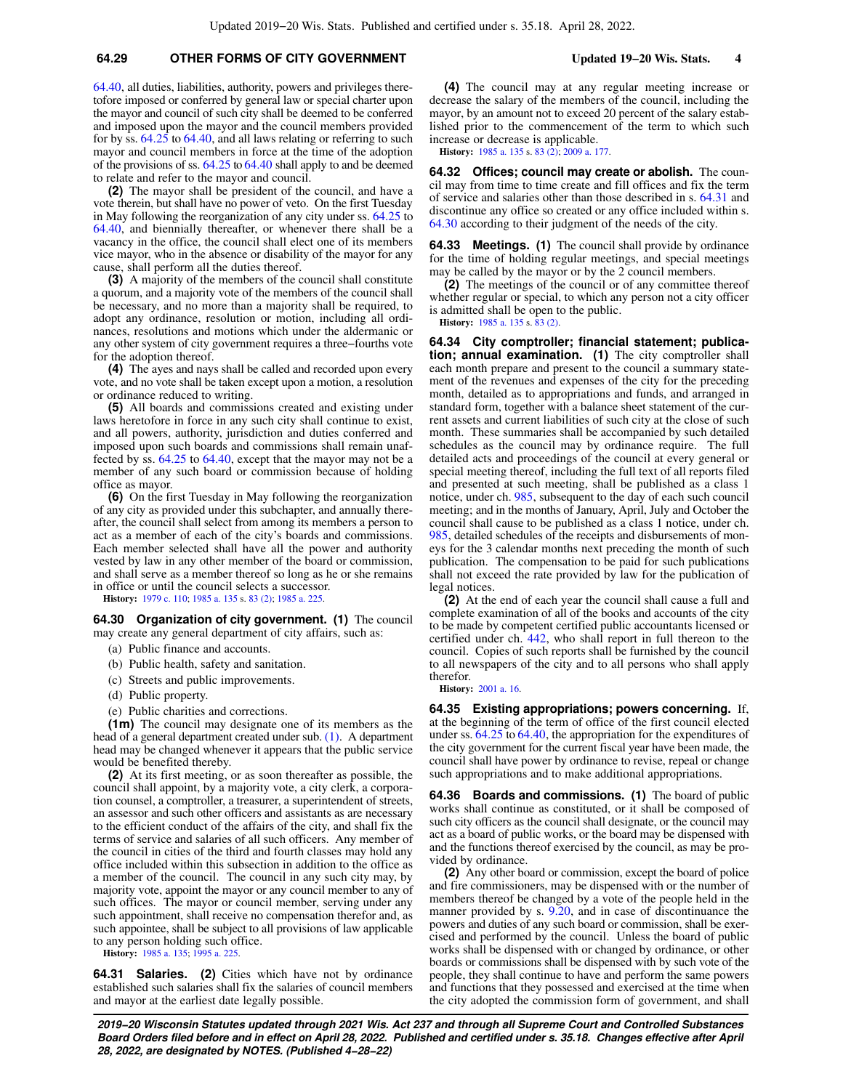## **64.29 OTHER FORMS OF CITY GOVERNMENT Updated 19−20 Wis. Stats. 4**

[64.40](https://docs-preview.legis.wisconsin.gov/document/statutes/64.40), all duties, liabilities, authority, powers and privileges theretofore imposed or conferred by general law or special charter upon the mayor and council of such city shall be deemed to be conferred and imposed upon the mayor and the council members provided for by ss. [64.25](https://docs-preview.legis.wisconsin.gov/document/statutes/64.25) to [64.40,](https://docs-preview.legis.wisconsin.gov/document/statutes/64.40) and all laws relating or referring to such mayor and council members in force at the time of the adoption of the provisions of ss. [64.25](https://docs-preview.legis.wisconsin.gov/document/statutes/64.25) to [64.40](https://docs-preview.legis.wisconsin.gov/document/statutes/64.40) shall apply to and be deemed to relate and refer to the mayor and council.

**(2)** The mayor shall be president of the council, and have a vote therein, but shall have no power of veto. On the first Tuesday in May following the reorganization of any city under ss. [64.25](https://docs-preview.legis.wisconsin.gov/document/statutes/64.25) to [64.40](https://docs-preview.legis.wisconsin.gov/document/statutes/64.40), and biennially thereafter, or whenever there shall be a vacancy in the office, the council shall elect one of its members vice mayor, who in the absence or disability of the mayor for any cause, shall perform all the duties thereof.

**(3)** A majority of the members of the council shall constitute a quorum, and a majority vote of the members of the council shall be necessary, and no more than a majority shall be required, to adopt any ordinance, resolution or motion, including all ordinances, resolutions and motions which under the aldermanic or any other system of city government requires a three−fourths vote for the adoption thereof.

**(4)** The ayes and nays shall be called and recorded upon every vote, and no vote shall be taken except upon a motion, a resolution or ordinance reduced to writing.

**(5)** All boards and commissions created and existing under laws heretofore in force in any such city shall continue to exist, and all powers, authority, jurisdiction and duties conferred and imposed upon such boards and commissions shall remain unaffected by ss. [64.25](https://docs-preview.legis.wisconsin.gov/document/statutes/64.25) to [64.40,](https://docs-preview.legis.wisconsin.gov/document/statutes/64.40) except that the mayor may not be a member of any such board or commission because of holding office as mayor.

**(6)** On the first Tuesday in May following the reorganization of any city as provided under this subchapter, and annually thereafter, the council shall select from among its members a person to act as a member of each of the city's boards and commissions. Each member selected shall have all the power and authority vested by law in any other member of the board or commission, and shall serve as a member thereof so long as he or she remains in office or until the council selects a successor.

**History:** [1979 c. 110](https://docs-preview.legis.wisconsin.gov/document/acts/1979/110); [1985 a. 135](https://docs-preview.legis.wisconsin.gov/document/acts/1985/135) s. [83 \(2\);](https://docs-preview.legis.wisconsin.gov/document/acts/1985/135,%20s.%2083) [1985 a. 225](https://docs-preview.legis.wisconsin.gov/document/acts/1985/225).

### **64.30 Organization of city government. (1)** The council may create any general department of city affairs, such as:

- (a) Public finance and accounts.
- (b) Public health, safety and sanitation.
- (c) Streets and public improvements.
- (d) Public property.
- (e) Public charities and corrections.

**(1m)** The council may designate one of its members as the head of a general department created under sub. [\(1\).](https://docs-preview.legis.wisconsin.gov/document/statutes/64.30(1)) A department head may be changed whenever it appears that the public service would be benefited thereby.

**(2)** At its first meeting, or as soon thereafter as possible, the council shall appoint, by a majority vote, a city clerk, a corporation counsel, a comptroller, a treasurer, a superintendent of streets, an assessor and such other officers and assistants as are necessary to the efficient conduct of the affairs of the city, and shall fix the terms of service and salaries of all such officers. Any member of the council in cities of the third and fourth classes may hold any office included within this subsection in addition to the office as a member of the council. The council in any such city may, by majority vote, appoint the mayor or any council member to any of such offices. The mayor or council member, serving under any such appointment, shall receive no compensation therefor and, as such appointee, shall be subject to all provisions of law applicable to any person holding such office.

**History:** [1985 a. 135](https://docs-preview.legis.wisconsin.gov/document/acts/1985/135); [1995 a. 225](https://docs-preview.legis.wisconsin.gov/document/acts/1995/225).

**64.31 Salaries. (2)** Cities which have not by ordinance established such salaries shall fix the salaries of council members and mayor at the earliest date legally possible.

**(4)** The council may at any regular meeting increase or decrease the salary of the members of the council, including the mayor, by an amount not to exceed 20 percent of the salary established prior to the commencement of the term to which such increase or decrease is applicable.

**History:** [1985 a. 135](https://docs-preview.legis.wisconsin.gov/document/acts/1985/135) s. [83 \(2\);](https://docs-preview.legis.wisconsin.gov/document/acts/1985/135,%20s.%2083) [2009 a. 177](https://docs-preview.legis.wisconsin.gov/document/acts/2009/177).

**64.32 Offices; council may create or abolish.** The council may from time to time create and fill offices and fix the term of service and salaries other than those described in s. [64.31](https://docs-preview.legis.wisconsin.gov/document/statutes/64.31) and discontinue any office so created or any office included within s. [64.30](https://docs-preview.legis.wisconsin.gov/document/statutes/64.30) according to their judgment of the needs of the city.

**64.33 Meetings. (1)** The council shall provide by ordinance for the time of holding regular meetings, and special meetings may be called by the mayor or by the 2 council members.

**(2)** The meetings of the council or of any committee thereof whether regular or special, to which any person not a city officer is admitted shall be open to the public.

**History:** [1985 a. 135](https://docs-preview.legis.wisconsin.gov/document/acts/1985/135) s. [83 \(2\).](https://docs-preview.legis.wisconsin.gov/document/acts/1985/135,%20s.%2083)

**64.34 City comptroller; financial statement; publication; annual examination. (1)** The city comptroller shall each month prepare and present to the council a summary statement of the revenues and expenses of the city for the preceding month, detailed as to appropriations and funds, and arranged in standard form, together with a balance sheet statement of the current assets and current liabilities of such city at the close of such month. These summaries shall be accompanied by such detailed schedules as the council may by ordinance require. The full detailed acts and proceedings of the council at every general or special meeting thereof, including the full text of all reports filed and presented at such meeting, shall be published as a class 1 notice, under ch. [985](https://docs-preview.legis.wisconsin.gov/document/statutes/ch.%20985), subsequent to the day of each such council meeting; and in the months of January, April, July and October the council shall cause to be published as a class 1 notice, under ch. [985,](https://docs-preview.legis.wisconsin.gov/document/statutes/ch.%20985) detailed schedules of the receipts and disbursements of moneys for the 3 calendar months next preceding the month of such publication. The compensation to be paid for such publications shall not exceed the rate provided by law for the publication of legal notices.

**(2)** At the end of each year the council shall cause a full and complete examination of all of the books and accounts of the city to be made by competent certified public accountants licensed or certified under ch. [442,](https://docs-preview.legis.wisconsin.gov/document/statutes/ch.%20442) who shall report in full thereon to the council. Copies of such reports shall be furnished by the council to all newspapers of the city and to all persons who shall apply therefor.

**History:** [2001 a. 16](https://docs-preview.legis.wisconsin.gov/document/acts/2001/16).

**64.35 Existing appropriations; powers concerning.** If, at the beginning of the term of office of the first council elected under ss. [64.25](https://docs-preview.legis.wisconsin.gov/document/statutes/64.25) to [64.40,](https://docs-preview.legis.wisconsin.gov/document/statutes/64.40) the appropriation for the expenditures of the city government for the current fiscal year have been made, the council shall have power by ordinance to revise, repeal or change such appropriations and to make additional appropriations.

**64.36 Boards and commissions. (1)** The board of public works shall continue as constituted, or it shall be composed of such city officers as the council shall designate, or the council may act as a board of public works, or the board may be dispensed with and the functions thereof exercised by the council, as may be provided by ordinance.

**(2)** Any other board or commission, except the board of police and fire commissioners, may be dispensed with or the number of members thereof be changed by a vote of the people held in the manner provided by s. [9.20,](https://docs-preview.legis.wisconsin.gov/document/statutes/9.20) and in case of discontinuance the powers and duties of any such board or commission, shall be exercised and performed by the council. Unless the board of public works shall be dispensed with or changed by ordinance, or other boards or commissions shall be dispensed with by such vote of the people, they shall continue to have and perform the same powers and functions that they possessed and exercised at the time when the city adopted the commission form of government, and shall